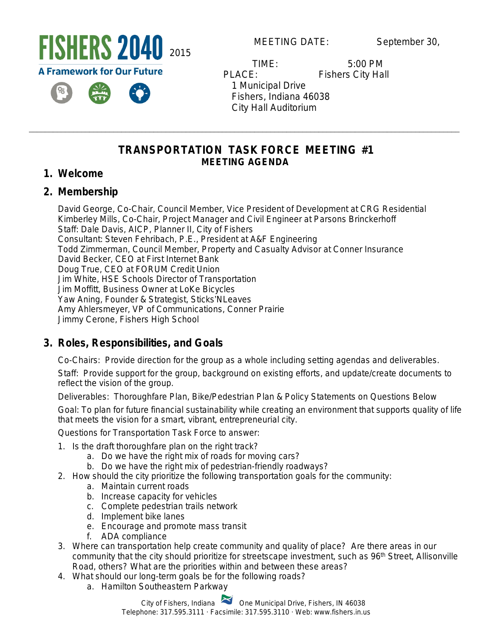

**MEETING DATE:** September 30,

 TIME: 5:00 PM PLACE: Fishers City Hall 1 Municipal Drive Fishers, Indiana 46038 City Hall Auditorium

### **TRANSPORTATION TASK FORCE MEETING #1 MEETING AGENDA**

\_\_\_\_\_\_\_\_\_\_\_\_\_\_\_\_\_\_\_\_\_\_\_\_\_\_\_\_\_\_\_\_\_\_\_\_\_\_\_\_\_\_\_\_\_\_\_\_\_\_\_\_\_\_\_\_\_\_\_\_\_\_\_\_\_\_\_\_\_\_\_\_\_\_\_\_\_\_\_\_\_\_\_\_\_\_\_\_\_\_\_\_\_\_\_\_\_\_\_\_\_\_\_\_\_\_\_

### **1. Welcome**

### **2. Membership**

David George, Co-Chair, Council Member, Vice President of Development at CRG Residential Kimberley Mills, Co-Chair, Project Manager and Civil Engineer at Parsons Brinckerhoff Staff: Dale Davis, AICP, Planner II, City of Fishers Consultant: Steven Fehribach, P.E., President at A&F Engineering Todd Zimmerman, Council Member, Property and Casualty Advisor at Conner Insurance David Becker, CEO at First Internet Bank Doug True, CEO at FORUM Credit Union Jim White, HSE Schools Director of Transportation Jim Moffitt, Business Owner at LoKe Bicycles Yaw Aning, Founder & Strategist, Sticks'NLeaves Amy Ahlersmeyer, VP of Communications, Conner Prairie Jimmy Cerone, Fishers High School

# **3. Roles, Responsibilities, and Goals**

Co-Chairs: Provide direction for the group as a whole including setting agendas and deliverables.

Staff: Provide support for the group, background on existing efforts, and update/create documents to reflect the vision of the group.

Deliverables: Thoroughfare Plan, Bike/Pedestrian Plan & Policy Statements on Questions Below Goal: To plan for future financial sustainability while creating an environment that supports quality of life that meets the vision for a smart, vibrant, entrepreneurial city.

Questions for Transportation Task Force to answer:

- 1. Is the draft thoroughfare plan on the right track?
	- a. Do we have the right mix of roads for moving cars?
	- b. Do we have the right mix of pedestrian-friendly roadways?
- 2. How should the city prioritize the following transportation goals for the community:
	- a. Maintain current roads
	- b. Increase capacity for vehicles
	- c. Complete pedestrian trails network
	- d. Implement bike lanes
	- e. Encourage and promote mass transit
	- f. ADA compliance
- 3. Where can transportation help create community and quality of place? Are there areas in our community that the city should prioritize for streetscape investment, such as 96<sup>th</sup> Street, Allisonville Road, others? What are the priorities within and between these areas?
- 4. What should our long-term goals be for the following roads?
	- a. Hamilton Southeastern Parkway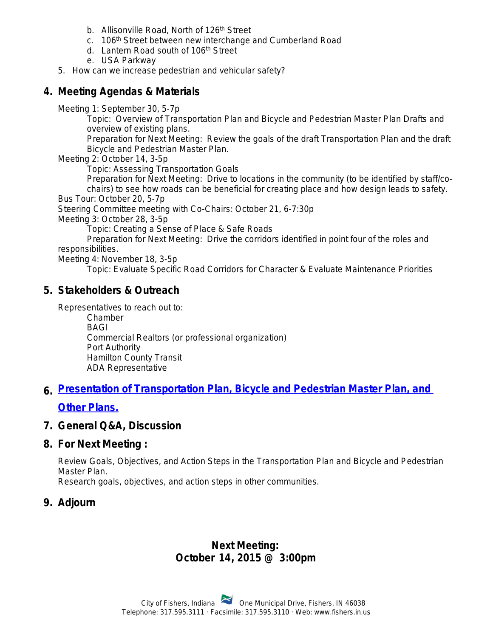- b. Allisonville Road, North of 126<sup>th</sup> Street
- c. 106<sup>th</sup> Street between new interchange and Cumberland Road
- d. Lantern Road south of 106th Street
- e. USA Parkway
- 5. How can we increase pedestrian and vehicular safety?

## **4. Meeting Agendas & Materials**

Meeting 1: September 30, 5-7p

Topic: Overview of Transportation Plan and Bicycle and Pedestrian Master Plan Drafts and overview of existing plans.

Preparation for Next Meeting: Review the goals of the draft Transportation Plan and the draft Bicycle and Pedestrian Master Plan.

Meeting 2: October 14, 3-5p

Topic: Assessing Transportation Goals

Preparation for Next Meeting: Drive to locations in the community (to be identified by staff/cochairs) to see how roads can be beneficial for creating place and how design leads to safety.

Bus Tour: October 20, 5-7p

Steering Committee meeting with Co-Chairs: October 21, 6-7:30p

Meeting 3: October 28, 3-5p

Topic: Creating a Sense of Place & Safe Roads

Preparation for Next Meeting: Drive the corridors identified in point four of the roles and responsibilities.

Meeting 4: November 18, 3-5p

Topic: Evaluate Specific Road Corridors for Character & Evaluate Maintenance Priorities

### **5. Stakeholders & Outreach**

Representatives to reach out to:

Chamber BAGI Commercial Realtors (or professional organization) Port Authority Hamilton County Transit ADA Representative

### **6. [Presentation of Transportation Plan, Bicycle and Pedestrian Master Plan, and](http://in-fishers.civicplus.com/DocumentCenter/View/6871)**

#### **Other Plans.**

#### **7. General Q&A, Discussion**

#### **8. For Next Meeting :**

Review Goals, Objectives, and Action Steps in the Transportation Plan and Bicycle and Pedestrian Master Plan.

Research goals, objectives, and action steps in other communities.

### **9. Adjourn**

#### **Next Meeting: October 14, 2015 @ 3:00pm**